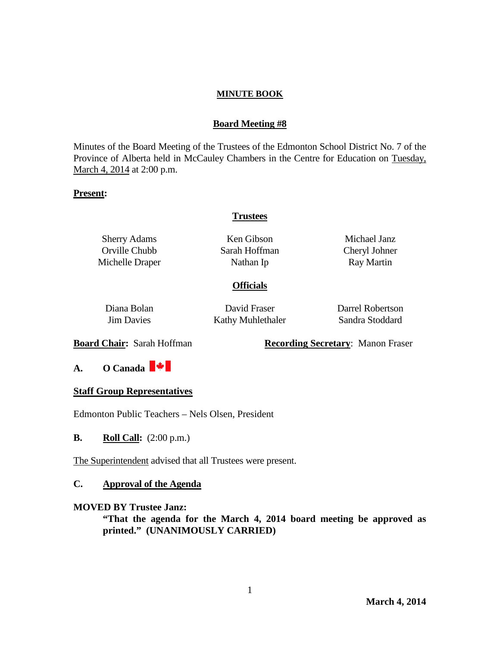## **Board Meeting #8**

Minutes of the Board Meeting of the Trustees of the Edmonton School District No. 7 of the Province of Alberta held in McCauley Chambers in the Centre for Education on Tuesday, March 4, 2014 at 2:00 p.m.

## **Present:**

## **Trustees**

Sherry Adams Orville Chubb Michelle Draper

Ken Gibson Sarah Hoffman Nathan Ip

Michael Janz Cheryl Johner Ray Martin

## **Officials**

Diana Bolan Jim Davies

David Fraser Kathy Muhlethaler Darrel Robertson Sandra Stoddard

**Board Chair:** Sarah Hoffman **Recording Secretary**: Manon Fraser

# **A. O Canada**

#### **Staff Group Representatives**

Edmonton Public Teachers – Nels Olsen, President

## **B. Roll Call:**  $(2:00 \text{ p.m.})$

The Superintendent advised that all Trustees were present.

## **C. Approval of the Agenda**

#### **MOVED BY Trustee Janz:**

**"That the agenda for the March 4, 2014 board meeting be approved as printed." (UNANIMOUSLY CARRIED)**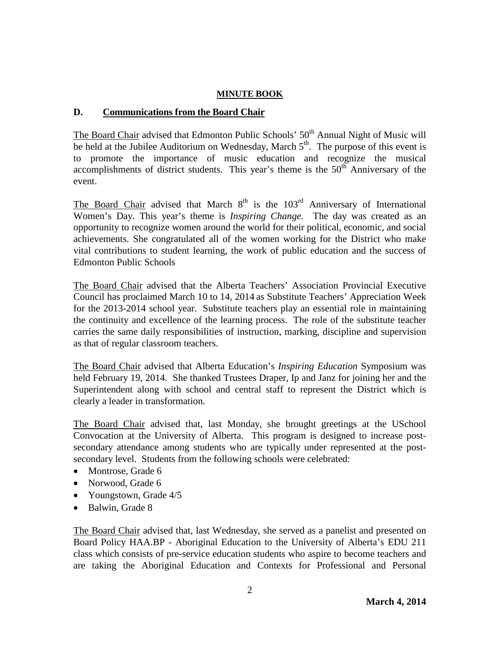# **D. Communications from the Board Chair**

The Board Chair advised that Edmonton Public Schools' 50<sup>th</sup> Annual Night of Music will be held at the Jubilee Auditorium on Wednesday, March  $5<sup>th</sup>$ . The purpose of this event is to promote the importance of music education and recognize the musical accomplishments of district students. This year's theme is the  $50<sup>th</sup>$  Anniversary of the event.

The Board Chair advised that March  $8<sup>th</sup>$  is the  $103<sup>rd</sup>$  Anniversary of International Women's Day. This year's theme is *Inspiring Change.* The day was created as an opportunity to recognize women around the world for their political, economic, and social achievements. She congratulated all of the women working for the District who make vital contributions to student learning, the work of public education and the success of Edmonton Public Schools

The Board Chair advised that the Alberta Teachers' Association Provincial Executive Council has proclaimed March 10 to 14, 2014 as Substitute Teachers' Appreciation Week for the 2013-2014 school year. Substitute teachers play an essential role in maintaining the continuity and excellence of the learning process. The role of the substitute teacher carries the same daily responsibilities of instruction, marking, discipline and supervision as that of regular classroom teachers.

The Board Chair advised that Alberta Education's *Inspiring Education* Symposium was held February 19, 2014. She thanked Trustees Draper, Ip and Janz for joining her and the Superintendent along with school and central staff to represent the District which is clearly a leader in transformation.

The Board Chair advised that, last Monday, she brought greetings at the USchool Convocation at the University of Alberta. This program is designed to increase postsecondary attendance among students who are typically under represented at the postsecondary level. Students from the following schools were celebrated:

- Montrose, Grade 6
- Norwood, Grade 6
- Youngstown, Grade  $4/5$
- Balwin, Grade 8

The Board Chair advised that, last Wednesday, she served as a panelist and presented on Board Policy HAA.BP - Aboriginal Education to the University of Alberta's EDU 211 class which consists of pre-service education students who aspire to become teachers and are taking the Aboriginal Education and Contexts for Professional and Personal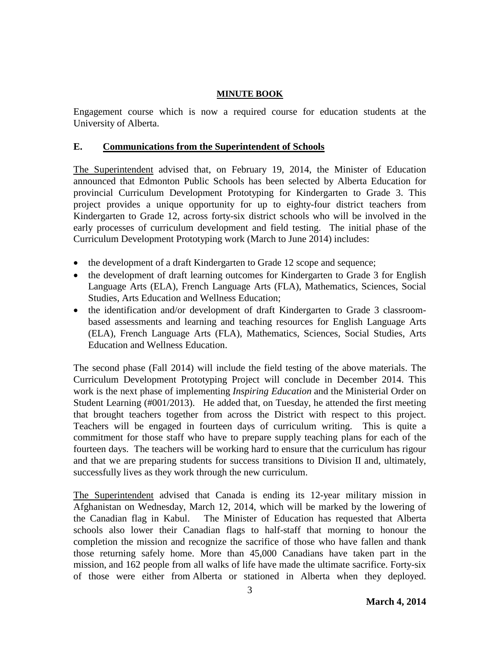Engagement course which is now a required course for education students at the University of Alberta.

## **E. Communications from the Superintendent of Schools**

The Superintendent advised that, on February 19, 2014, the Minister of Education announced that Edmonton Public Schools has been selected by Alberta Education for provincial Curriculum Development Prototyping for Kindergarten to Grade 3. This project provides a unique opportunity for up to eighty-four district teachers from Kindergarten to Grade 12, across forty-six district schools who will be involved in the early processes of curriculum development and field testing. The initial phase of the Curriculum Development Prototyping work (March to June 2014) includes:

- the development of a draft Kindergarten to Grade 12 scope and sequence;
- the development of draft learning outcomes for Kindergarten to Grade 3 for English Language Arts (ELA), French Language Arts (FLA), Mathematics, Sciences, Social Studies, Arts Education and Wellness Education;
- the identification and/or development of draft Kindergarten to Grade 3 classroombased assessments and learning and teaching resources for English Language Arts (ELA), French Language Arts (FLA), Mathematics, Sciences, Social Studies, Arts Education and Wellness Education.

The second phase (Fall 2014) will include the field testing of the above materials. The Curriculum Development Prototyping Project will conclude in December 2014. This work is the next phase of implementing *[Inspiring Education](https://education.alberta.ca/media/7145083/inspiring%20education%20steering%20committee%20report.pdf)* and the [Ministerial Order on](https://education.alberta.ca/media/6951645/skmbt_c36413050707450.pdf)  [Student Learning \(#001/2013\).](https://education.alberta.ca/media/6951645/skmbt_c36413050707450.pdf) He added that, on Tuesday, he attended the first meeting that brought teachers together from across the District with respect to this project. Teachers will be engaged in fourteen days of curriculum writing. This is quite a commitment for those staff who have to prepare supply teaching plans for each of the fourteen days. The teachers will be working hard to ensure that the curriculum has rigour and that we are preparing students for success transitions to Division II and, ultimately, successfully lives as they work through the new curriculum.

The Superintendent advised that Canada is ending its 12-year military mission in Afghanistan on Wednesday, March 12, 2014, which will be marked by the lowering of the Canadian flag in Kabul. The Minister of Education has requested that Alberta schools also lower their Canadian flags to half-staff that morning to honour the completion the mission and recognize the sacrifice of those who have fallen and thank those returning safely home. More than 45,000 Canadians have taken part in the mission, and 162 people from all walks of life have made the ultimate sacrifice. Forty-six of those were either from Alberta or stationed in Alberta when they deployed.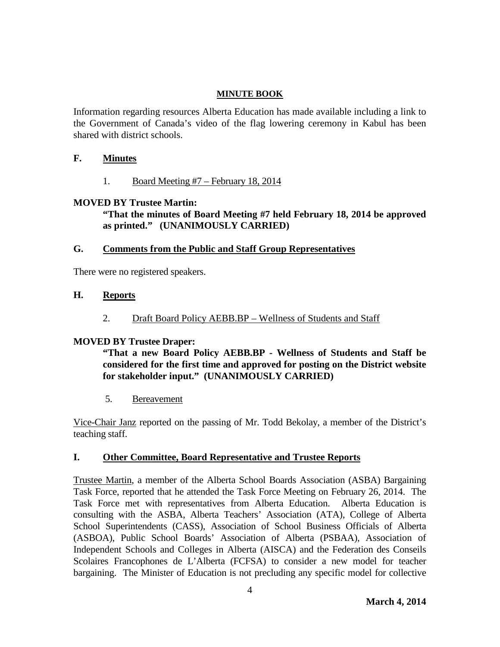Information regarding resources Alberta Education has made available including a link to the Government of Canada's video of the flag lowering ceremony in Kabul has been shared with district schools.

## **F. Minutes**

1. Board Meeting #7 – February 18, 2014

## **MOVED BY Trustee Martin:**

**"That the minutes of Board Meeting #7 held February 18, 2014 be approved as printed." (UNANIMOUSLY CARRIED)**

# **G. Comments from the Public and Staff Group Representatives**

There were no registered speakers.

## **H. Reports**

2. Draft Board Policy AEBB.BP – Wellness of Students and Staff

# **MOVED BY Trustee Draper:**

**"That a new Board Policy AEBB.BP - Wellness of Students and Staff be considered for the first time and approved for posting on the District website for stakeholder input." (UNANIMOUSLY CARRIED)**

5. Bereavement

Vice-Chair Janz reported on the passing of Mr. Todd Bekolay, a member of the District's teaching staff.

## **I. Other Committee, Board Representative and Trustee Reports**

Trustee Martin, a member of the Alberta School Boards Association (ASBA) Bargaining Task Force, reported that he attended the Task Force Meeting on February 26, 2014. The Task Force met with representatives from Alberta Education. Alberta Education is consulting with the ASBA, Alberta Teachers' Association (ATA), College of Alberta School Superintendents (CASS), Association of School Business Officials of Alberta (ASBOA), Public School Boards' Association of Alberta (PSBAA), Association of Independent Schools and Colleges in Alberta (AISCA) and the Federation des Conseils Scolaires Francophones de L'Alberta (FCFSA) to consider a new model for teacher bargaining. The Minister of Education is not precluding any specific model for collective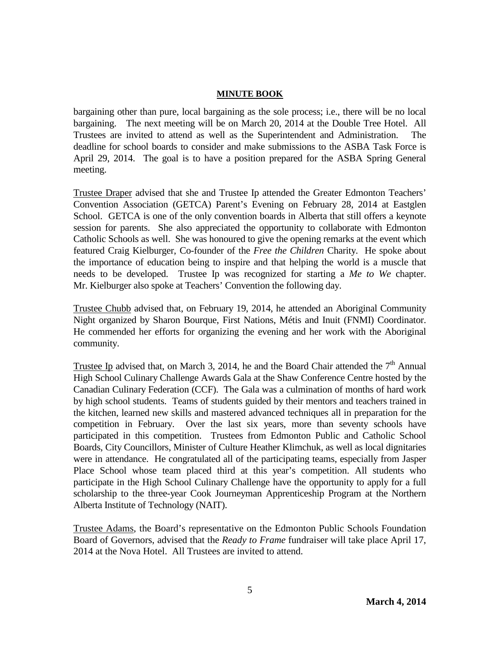bargaining other than pure, local bargaining as the sole process; i.e., there will be no local bargaining. The next meeting will be on March 20, 2014 at the Double Tree Hotel. All Trustees are invited to attend as well as the Superintendent and Administration. The deadline for school boards to consider and make submissions to the ASBA Task Force is April 29, 2014. The goal is to have a position prepared for the ASBA Spring General meeting.

Trustee Draper advised that she and Trustee Ip attended the Greater Edmonton Teachers' Convention Association (GETCA) Parent's Evening on February 28, 2014 at Eastglen School. GETCA is one of the only convention boards in Alberta that still offers a keynote session for parents. She also appreciated the opportunity to collaborate with Edmonton Catholic Schools as well. She was honoured to give the opening remarks at the event which featured Craig Kielburger, Co-founder of the *Free the Children* Charity. He spoke about the importance of education being to inspire and that helping the world is a muscle that needs to be developed. Trustee Ip was recognized for starting a *Me to We* chapter. Mr. Kielburger also spoke at Teachers' Convention the following day.

Trustee Chubb advised that, on February 19, 2014, he attended an Aboriginal Community Night organized by Sharon Bourque, First Nations, Métis and Inuit (FNMI) Coordinator. He commended her efforts for organizing the evening and her work with the Aboriginal community.

Trustee Ip advised that, on March 3, 2014, he and the Board Chair attended the  $7<sup>th</sup>$  Annual High School Culinary Challenge Awards Gala at the Shaw Conference Centre hosted by the Canadian Culinary Federation (CCF). The Gala was a culmination of months of hard work by high school students. Teams of students guided by their mentors and teachers trained in the kitchen, learned new skills and mastered advanced techniques all in preparation for the competition in February. Over the last six years, more than seventy schools have participated in this competition. Trustees from Edmonton Public and Catholic School Boards, City Councillors, Minister of Culture Heather Klimchuk, as well as local dignitaries were in attendance. He congratulated all of the participating teams, especially from Jasper Place School whose team placed third at this year's competition. All students who participate in the High School Culinary Challenge have the opportunity to apply for a full scholarship to the three-year Cook Journeyman Apprenticeship Program at the Northern Alberta Institute of Technology (NAIT).

Trustee Adams, the Board's representative on the Edmonton Public Schools Foundation Board of Governors, advised that the *Ready to Frame* fundraiser will take place April 17, 2014 at the Nova Hotel. All Trustees are invited to attend.